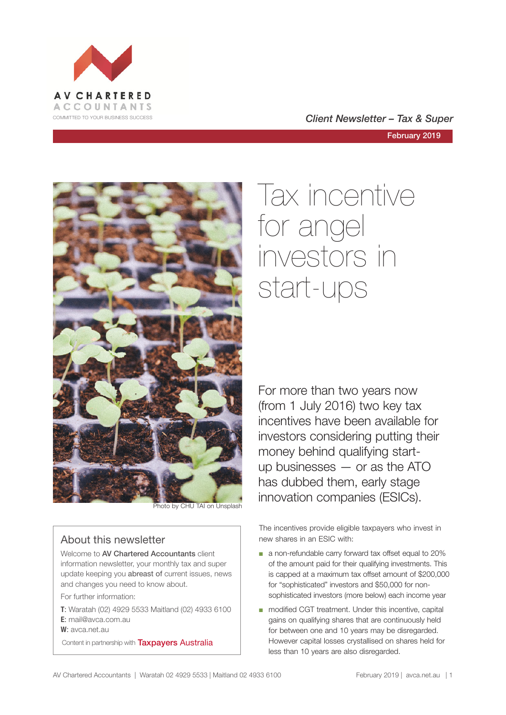

COMMITTED TO YOUR BUSINESS SUCCESS **COMMITTED TO YOUR BUSINESS SUCCESS** 

February 2019



# About this newsletter

Welcome to AV Chartered Accountants client information newsletter, your monthly tax and super update keeping you abreast of current issues, news and changes you need to know about.

For further information:

**T**: Waratah (02) 4929 5533 Maitland (02) 4933 6100 **E**: mail@avca.com.au

**W**: avca.net.au

Content in partnership with **Taxpayers Australia** 

# Tax incentive for angel investors in start-ups

For more than two years now (from 1 July 2016) two key tax incentives have been available for investors considering putting their money behind qualifying startup businesses — or as the ATO has dubbed them, early stage **innovation companies (ESICs).**<br>Photo by CHU TAI on Unsplash

> The incentives provide eligible taxpayers who invest in new shares in an ESIC with:

- a non-refundable carry forward tax offset equal to 20% of the amount paid for their qualifying investments. This is capped at a maximum tax offset amount of \$200,000 for "sophisticated" investors and \$50,000 for nonsophisticated investors (more below) each income year
- modified CGT treatment. Under this incentive, capital gains on qualifying shares that are continuously held for between one and 10 years may be disregarded. However capital losses crystallised on shares held for less than 10 years are also disregarded.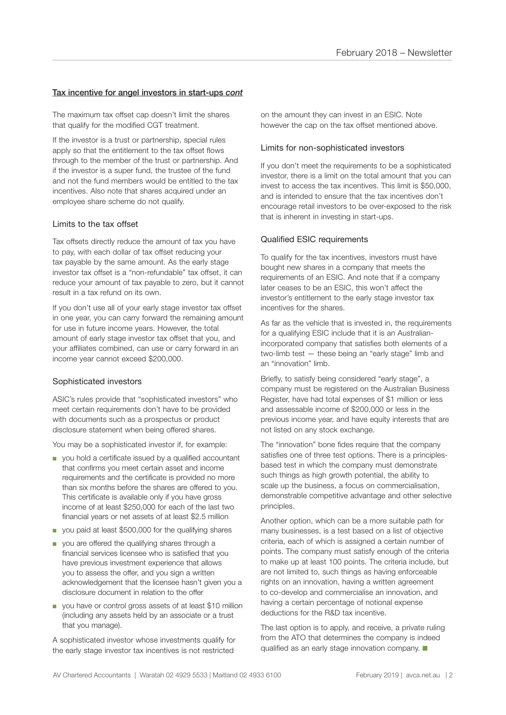# Tax incentive for angel investors in start-ups *cont*

The maximum tax offset cap doesn't limit the shares that qualify for the modified CGT treatment.

If the investor is a trust or partnership, special rules apply so that the entitlement to the tax offset flows through to the member of the trust or partnership. And if the investor is a super fund, the trustee of the fund and not the fund members would be entitled to the tax incentives. Also note that shares acquired under an employee share scheme do not qualify.

## Limits to the tax offset

Tax offsets directly reduce the amount of tax you have to pay, with each dollar of tax offset reducing your tax payable by the same amount. As the early stage investor tax offset is a "non-refundable" tax offset, it can reduce your amount of tax payable to zero, but it cannot result in a tax refund on its own.

If you don't use all of your early stage investor tax offset in one year, you can carry forward the remaining amount for use in future income years. However, the total amount of early stage investor tax offset that you, and your affiliates combined, can use or carry forward in an income year cannot exceed \$200,000.

## Sophisticated investors

ASIC's rules provide that "sophisticated investors" who meet certain requirements don't have to be provided with documents such as a prospectus or product disclosure statement when being offered shares.

You may be a sophisticated investor if, for example:

- you hold a certificate issued by a qualified accountant that confirms you meet certain asset and income requirements and the certificate is provided no more than six months before the shares are offered to you. This certificate is available only if you have gross income of at least \$250,000 for each of the last two financial years or net assets of at least \$2.5 million
- you paid at least \$500,000 for the qualifying shares
- you are offered the qualifying shares through a financial services licensee who is satisfied that you have previous investment experience that allows you to assess the offer, and you sign a written acknowledgement that the licensee hasn't given you a disclosure document in relation to the offer
- you have or control gross assets of at least \$10 million (including any assets held by an associate or a trust that you manage).

A sophisticated investor whose investments qualify for the early stage investor tax incentives is not restricted

on the amount they can invest in an ESIC. Note however the cap on the tax offset mentioned above.

#### Limits for non-sophisticated investors

If you don't meet the requirements to be a sophisticated investor, there is a limit on the total amount that you can invest to access the tax incentives. This limit is \$50,000, and is intended to ensure that the tax incentives don't encourage retail investors to be over-exposed to the risk that is inherent in investing in start-ups.

## Qualified ESIC requirements

To qualify for the tax incentives, investors must have bought new shares in a company that meets the requirements of an ESIC. And note that if a company later ceases to be an ESIC, this won't affect the investor's entitlement to the early stage investor tax incentives for the shares.

As far as the vehicle that is invested in, the requirements for a qualifying ESIC include that it is an Australianincorporated company that satisfies both elements of a two-limb test — these being an "early stage" limb and an "innovation" limb.

Briefly, to satisfy being considered "early stage", a company must be registered on the Australian Business Register, have had total expenses of \$1 million or less and assessable income of \$200,000 or less in the previous income year, and have equity interests that are not listed on any stock exchange.

The "innovation" bone fides require that the company satisfies one of three test options. There is a principlesbased test in which the company must demonstrate such things as high growth potential, the ability to scale up the business, a focus on commercialisation, demonstrable competitive advantage and other selective principles.

Another option, which can be a more suitable path for many businesses, is a test based on a list of objective criteria, each of which is assigned a certain number of points. The company must satisfy enough of the criteria to make up at least 100 points. The criteria include, but are not limited to, such things as having enforceable rights on an innovation, having a written agreement to co-develop and commercialise an innovation, and having a certain percentage of notional expense deductions for the R&D tax incentive.

The last option is to apply, and receive, a private ruling from the ATO that determines the company is indeed qualified as an early stage innovation company.  $\blacksquare$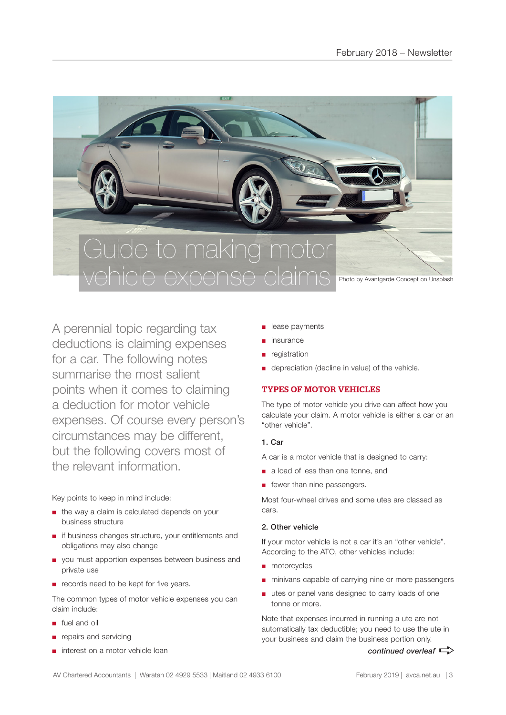

A perennial topic regarding tax deductions is claiming expenses for a car. The following notes summarise the most salient points when it comes to claiming a deduction for motor vehicle expenses. Of course every person's circumstances may be different, but the following covers most of the relevant information.

Key points to keep in mind include:

- the way a claim is calculated depends on your business structure
- if business changes structure, your entitlements and obligations may also change
- you must apportion expenses between business and private use
- records need to be kept for five years.

The common types of motor vehicle expenses you can claim include:

- fuel and oil
- repairs and servicing
- interest on a motor vehicle loan
- lease payments
- insurance
- registration
- depreciation (decline in value) of the vehicle.

# TYPES OF MOTOR VEHICLES

The type of motor vehicle you drive can affect how you calculate your claim. A motor vehicle is either a car or an "other vehicle".

# 1. Car

A car is a motor vehicle that is designed to carry:

- a load of less than one tonne, and
- fewer than nine passengers.

Most four-wheel drives and some utes are classed as cars.

# 2. Other vehicle

If your motor vehicle is not a car it's an "other vehicle". According to the ATO, other vehicles include:

- motorcycles
- minivans capable of carrying nine or more passengers
- utes or panel vans designed to carry loads of one tonne or more.

Note that expenses incurred in running a ute are not automatically tax deductible; you need to use the ute in your business and claim the business portion only.

*continued overleaf*  $\Rightarrow$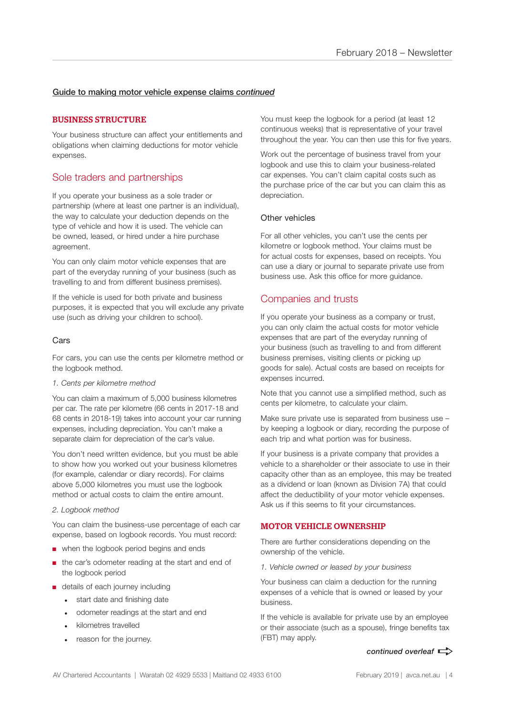# Guide to making motor vehicle expense claims *continued*

# BUSINESS STRUCTURE

Your business structure can affect your entitlements and obligations when claiming deductions for motor vehicle expenses.

# Sole traders and partnerships

If you operate your business as a sole trader or partnership (where at least one partner is an individual), the way to calculate your deduction depends on the type of vehicle and how it is used. The vehicle can be owned, leased, or hired under a hire purchase agreement.

You can only claim motor vehicle expenses that are part of the everyday running of your business (such as travelling to and from different business premises).

If the vehicle is used for both private and business purposes, it is expected that you will exclude any private use (such as driving your children to school).

## Cars

For cars, you can use the cents per kilometre method or the logbook method.

#### *1. Cents per kilometre method*

You can claim a maximum of 5,000 business kilometres per car. The rate per kilometre (66 cents in 2017-18 and 68 cents in 2018-19) takes into account your car running expenses, including depreciation. You can't make a separate claim for depreciation of the car's value.

You don't need written evidence, but you must be able to show how you worked out your business kilometres (for example, calendar or diary records). For claims above 5,000 kilometres you must use the logbook method or actual costs to claim the entire amount.

#### *2. Logbook method*

You can claim the business-use percentage of each car expense, based on logbook records. You must record:

- when the logbook period begins and ends
- the car's odometer reading at the start and end of the logbook period
- details of each journey including
	- start date and finishing date
	- odometer readings at the start and end
	- kilometres travelled
	- reason for the journey.

You must keep the logbook for a period (at least 12 continuous weeks) that is representative of your travel throughout the year. You can then use this for five years.

Work out the percentage of business travel from your logbook and use this to claim your business-related car expenses. You can't claim capital costs such as the purchase price of the car but you can claim this as depreciation.

#### Other vehicles

For all other vehicles, you can't use the cents per kilometre or logbook method. Your claims must be for actual costs for expenses, based on receipts. You can use a diary or journal to separate private use from business use. Ask this office for more guidance.

# Companies and trusts

If you operate your business as a company or trust, you can only claim the actual costs for motor vehicle expenses that are part of the everyday running of your business (such as travelling to and from different business premises, visiting clients or picking up goods for sale). Actual costs are based on receipts for expenses incurred.

Note that you cannot use a simplified method, such as cents per kilometre, to calculate your claim.

Make sure private use is separated from business use – by keeping a logbook or diary, recording the purpose of each trip and what portion was for business.

If your business is a private company that provides a vehicle to a shareholder or their associate to use in their capacity other than as an employee, this may be treated as a dividend or loan (known as Division 7A) that could affect the deductibility of your motor vehicle expenses. Ask us if this seems to fit your circumstances.

## MOTOR VEHICLE OWNERSHIP

There are further considerations depending on the ownership of the vehicle.

*1. Vehicle owned or leased by your business*

Your business can claim a deduction for the running expenses of a vehicle that is owned or leased by your business.

If the vehicle is available for private use by an employee or their associate (such as a spouse), fringe benefits tax (FBT) may apply.

#### *continued overleaf*  $\Rightarrow$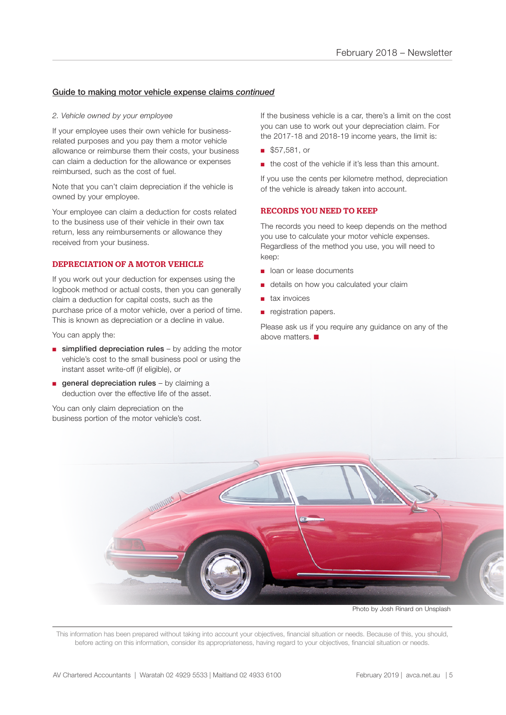# Guide to making motor vehicle expense claims *continued*

#### *2. Vehicle owned by your employee*

If your employee uses their own vehicle for businessrelated purposes and you pay them a motor vehicle allowance or reimburse them their costs, your business can claim a deduction for the allowance or expenses reimbursed, such as the cost of fuel.

Note that you can't claim depreciation if the vehicle is owned by your employee.

Your employee can claim a deduction for costs related to the business use of their vehicle in their own tax return, less any reimbursements or allowance they received from your business.

#### DEPRECIATION OF A MOTOR VEHICLE

If you work out your deduction for expenses using the logbook method or actual costs, then you can generally claim a deduction for capital costs, such as the purchase price of a motor vehicle, over a period of time. This is known as depreciation or a decline in value.

You can apply the:

- $\blacksquare$  simplified depreciation rules by adding the motor vehicle's cost to the small business pool or using the instant asset write-off (if eligible), or
- $\blacksquare$  general depreciation rules by claiming a deduction over the effective life of the asset.

You can only claim depreciation on the business portion of the motor vehicle's cost.

If the business vehicle is a car, there's a limit on the cost you can use to work out your depreciation claim. For the 2017-18 and 2018-19 income years, the limit is:

- \$57,581, or
- the cost of the vehicle if it's less than this amount.

If you use the cents per kilometre method, depreciation of the vehicle is already taken into account.

# RECORDS YOU NEED TO KEEP

The records you need to keep depends on the method you use to calculate your motor vehicle expenses. Regardless of the method you use, you will need to keep:

- loan or lease documents
- details on how you calculated your claim
- tax invoices
- registration papers.

Please ask us if you require any guidance on any of the above matters.  $\blacksquare$ 

Photo by Josh Rinard on Unsplash

This information has been prepared without taking into account your objectives, financial situation or needs. Because of this, you should, before acting on this information, consider its appropriateness, having regard to your objectives, financial situation or needs.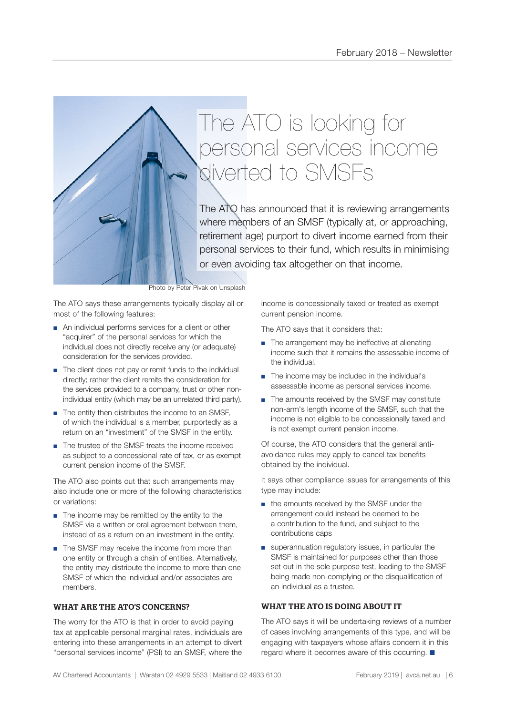

The ATO has announced that it is reviewing arrangements where members of an SMSF (typically at, or approaching, retirement age) purport to divert income earned from their personal services to their fund, which results in minimising or even avoiding tax altogether on that income.

Photo by Peter Pivak on Unsplash

The ATO says these arrangements typically display all or most of the following features:

- An individual performs services for a client or other "acquirer" of the personal services for which the individual does not directly receive any (or adequate) consideration for the services provided.
- The client does not pay or remit funds to the individual directly; rather the client remits the consideration for the services provided to a company, trust or other nonindividual entity (which may be an unrelated third party).
- The entity then distributes the income to an SMSF. of which the individual is a member, purportedly as a return on an "investment" of the SMSF in the entity.
- The trustee of the SMSF treats the income received as subject to a concessional rate of tax, or as exempt current pension income of the SMSF.

The ATO also points out that such arrangements may also include one or more of the following characteristics or variations:

- The income may be remitted by the entity to the SMSF via a written or oral agreement between them, instead of as a return on an investment in the entity.
- The SMSF may receive the income from more than one entity or through a chain of entities. Alternatively, the entity may distribute the income to more than one SMSF of which the individual and/or associates are members.

## WHAT ARE THE ATO'S CONCERNS?

The worry for the ATO is that in order to avoid paying tax at applicable personal marginal rates, individuals are entering into these arrangements in an attempt to divert "personal services income" (PSI) to an SMSF, where the

income is concessionally taxed or treated as exempt current pension income.

The ATO says that it considers that:

- The arrangement may be ineffective at alienating income such that it remains the assessable income of the individual.
- The income may be included in the individual's assessable income as personal services income.
- The amounts received by the SMSF may constitute non-arm's length income of the SMSF, such that the income is not eligible to be concessionally taxed and is not exempt current pension income.

Of course, the ATO considers that the general antiavoidance rules may apply to cancel tax benefits obtained by the individual.

It says other compliance issues for arrangements of this type may include:

- the amounts received by the SMSF under the arrangement could instead be deemed to be a contribution to the fund, and subject to the contributions caps
- superannuation regulatory issues, in particular the SMSF is maintained for purposes other than those set out in the sole purpose test, leading to the SMSF being made non-complying or the disqualification of an individual as a trustee.

## WHAT THE ATO IS DOING ABOUT IT

The ATO says it will be undertaking reviews of a number of cases involving arrangements of this type, and will be engaging with taxpayers whose affairs concern it in this regard where it becomes aware of this occurring.  $\blacksquare$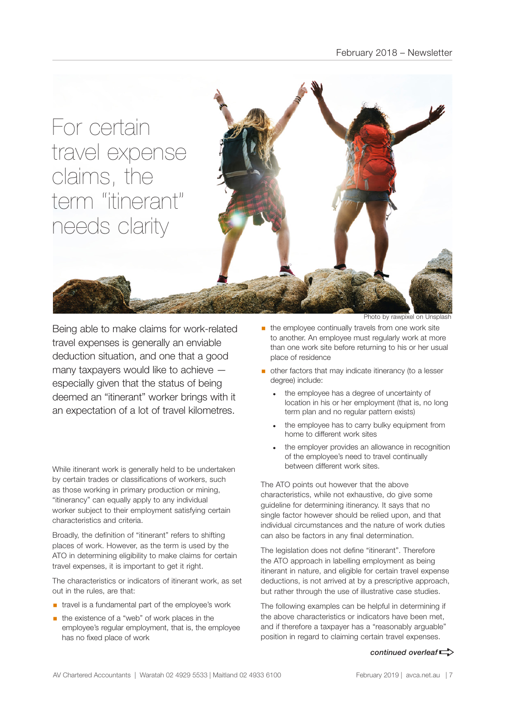

Being able to make claims for work-related travel expenses is generally an enviable deduction situation, and one that a good many taxpayers would like to achieve especially given that the status of being deemed an "itinerant" worker brings with it an expectation of a lot of travel kilometres.

While itinerant work is generally held to be undertaken by certain trades or classifications of workers, such as those working in primary production or mining, "itinerancy" can equally apply to any individual worker subject to their employment satisfying certain characteristics and criteria.

Broadly, the definition of "itinerant" refers to shifting places of work. However, as the term is used by the ATO in determining eligibility to make claims for certain travel expenses, it is important to get it right.

The characteristics or indicators of itinerant work, as set out in the rules, are that:

- travel is a fundamental part of the employee's work
- the existence of a "web" of work places in the employee's regular employment, that is, the employee has no fixed place of work

Photo by rawpixel on Un

- $\blacksquare$  the employee continually travels from one work site to another. An employee must regularly work at more than one work site before returning to his or her usual place of residence
- **•** other factors that may indicate itinerancy (to a lesser degree) include:
	- the employee has a degree of uncertainty of location in his or her employment (that is, no long term plan and no regular pattern exists)
	- the employee has to carry bulky equipment from home to different work sites
	- the employer provides an allowance in recognition of the employee's need to travel continually between different work sites.

The ATO points out however that the above characteristics, while not exhaustive, do give some guideline for determining itinerancy. It says that no single factor however should be relied upon, and that individual circumstances and the nature of work duties can also be factors in any final determination.

The legislation does not define "itinerant". Therefore the ATO approach in labelling employment as being itinerant in nature, and eligible for certain travel expense deductions, is not arrived at by a prescriptive approach, but rather through the use of illustrative case studies.

The following examples can be helpful in determining if the above characteristics or indicators have been met, and if therefore a taxpayer has a "reasonably arguable" position in regard to claiming certain travel expenses.

#### *continued overleaf* $\Rightarrow$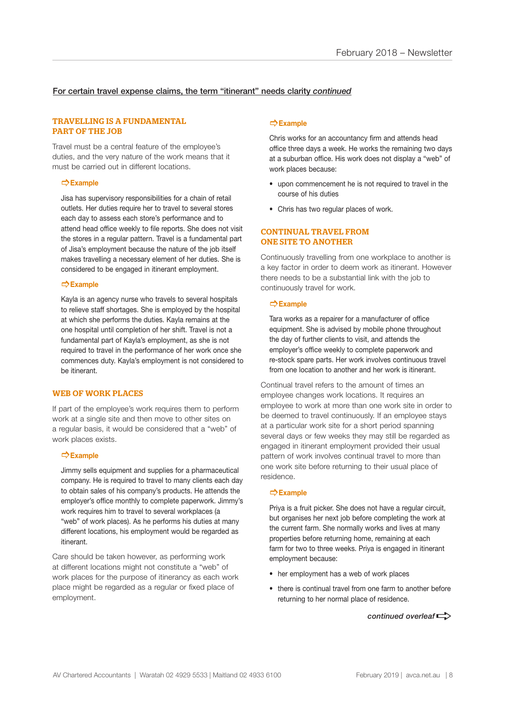# For certain travel expense claims, the term "itinerant" needs clarity *continued*

#### TRAVELLING IS A FUNDAMENTAL PART OF THE JOB

Travel must be a central feature of the employee's duties, and the very nature of the work means that it must be carried out in different locations.

#### ]**Example**

Jisa has supervisory responsibilities for a chain of retail outlets. Her duties require her to travel to several stores each day to assess each store's performance and to attend head office weekly to file reports. She does not visit the stores in a regular pattern. Travel is a fundamental part of Jisa's employment because the nature of the job itself makes travelling a necessary element of her duties. She is considered to be engaged in itinerant employment.

## ]**Example**

Kayla is an agency nurse who travels to several hospitals to relieve staff shortages. She is employed by the hospital at which she performs the duties. Kayla remains at the one hospital until completion of her shift. Travel is not a fundamental part of Kayla's employment, as she is not required to travel in the performance of her work once she commences duty. Kayla's employment is not considered to be itinerant.

#### WEB OF WORK PLACES

If part of the employee's work requires them to perform work at a single site and then move to other sites on a regular basis, it would be considered that a "web" of work places exists.

#### ]**Example**

Jimmy sells equipment and supplies for a pharmaceutical company. He is required to travel to many clients each day to obtain sales of his company's products. He attends the employer's office monthly to complete paperwork. Jimmy's work requires him to travel to several workplaces (a "web" of work places). As he performs his duties at many different locations, his employment would be regarded as itinerant.

Care should be taken however, as performing work at different locations might not constitute a "web" of work places for the purpose of itinerancy as each work place might be regarded as a regular or fixed place of employment.

#### ]**Example**

Chris works for an accountancy firm and attends head office three days a week. He works the remaining two days at a suburban office. His work does not display a "web" of work places because:

- upon commencement he is not required to travel in the course of his duties
- Chris has two regular places of work.

#### CONTINUAL TRAVEL FROM ONE SITE TO ANOTHER

Continuously travelling from one workplace to another is a key factor in order to deem work as itinerant. However there needs to be a substantial link with the job to continuously travel for work.

#### ]**Example**

Tara works as a repairer for a manufacturer of office equipment. She is advised by mobile phone throughout the day of further clients to visit, and attends the employer's office weekly to complete paperwork and re-stock spare parts. Her work involves continuous travel from one location to another and her work is itinerant.

Continual travel refers to the amount of times an employee changes work locations. It requires an employee to work at more than one work site in order to be deemed to travel continuously. If an employee stays at a particular work site for a short period spanning several days or few weeks they may still be regarded as engaged in itinerant employment provided their usual pattern of work involves continual travel to more than one work site before returning to their usual place of residence.

#### ]**Example**

Priya is a fruit picker. She does not have a regular circuit, but organises her next job before completing the work at the current farm. She normally works and lives at many properties before returning home, remaining at each farm for two to three weeks. Priya is engaged in itinerant employment because:

- her employment has a web of work places
- there is continual travel from one farm to another before returning to her normal place of residence.

*continued overleaf* $\Rightarrow$